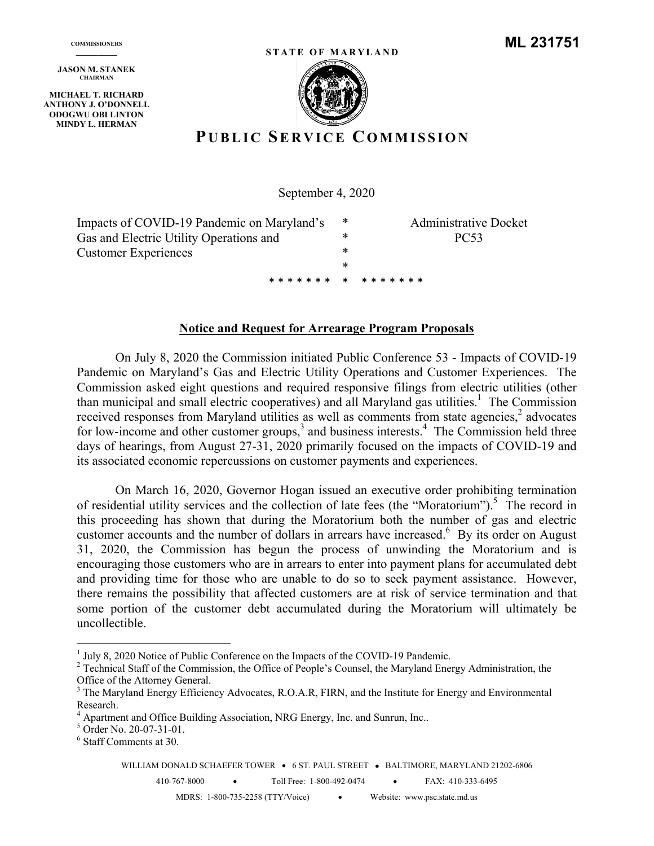**JASON M. STANEK** 

**MICHAEL T. RICHARD ANTHONY J. O'DONNELL ODOGWU OBI LINTON MINDY L. HERMAN** 

**STATE OF MARYLAND** 



## **P UBLIC SERVICE COMMISSION**

September 4, 2020

| Impacts of COVID-19 Pandemic on Maryland's |  |   |                   | <b>Administrative Docket</b> |
|--------------------------------------------|--|---|-------------------|------------------------------|
| Gas and Electric Utility Operations and    |  | ∗ |                   | <b>PC53</b>                  |
| <b>Customer Experiences</b>                |  | ∗ |                   |                              |
|                                            |  | ∗ |                   |                              |
|                                            |  |   | ******* * ******* |                              |

## **Notice and Request for Arrearage Program Proposals**

On July 8, 2020 the Commission initiated Public Conference 53 - Impacts of COVID-19 Pandemic on Maryland's Gas and Electric Utility Operations and Customer Experiences. The Commission asked eight questions and required responsive filings from electric utilities (other than municipal and small electric cooperatives) and all Maryland gas utilities.<sup>1</sup> The Commission received responses from Maryland utilities as well as comments from state agencies, $2$  advocates for low-income and other customer groups,<sup>3</sup> and business interests.<sup>4</sup> The Commission held three days of hearings, from August 27-31, 2020 primarily focused on the impacts of COVID-19 and its associated economic repercussions on customer payments and experiences.

On March 16, 2020, Governor Hogan issued an executive order prohibiting termination of residential utility services and the collection of late fees (the "Moratorium").<sup>5</sup> The record in this proceeding has shown that during the Moratorium both the number of gas and electric customer accounts and the number of dollars in arrears have increased.<sup>6</sup> By its order on August 31, 2020, the Commission has begun the process of unwinding the Moratorium and is encouraging those customers who are in arrears to enter into payment plans for accumulated debt and providing time for those who are unable to do so to seek payment assistance. However, there remains the possibility that affected customers are at risk of service termination and that some portion of the customer debt accumulated during the Moratorium will ultimately be uncollectible.

<sup>&</sup>lt;sup>1</sup> July 8, 2020 Notice of Public Conference on the Impacts of the COVID-19 Pandemic.

<sup>&</sup>lt;sup>2</sup> Technical Staff of the Commission, the Office of People's Counsel, the Maryland Energy Administration, the Office of the Attorney General.

<sup>&</sup>lt;sup>3</sup> The Maryland Energy Efficiency Advocates, R.O.A.R, FIRN, and the Institute for Energy and Environmental Research.

<sup>&</sup>lt;sup>4</sup> Apartment and Office Building Association, NRG Energy, Inc. and Sunrun, Inc..  $5 \text{ Order N} \geq 20.07, 31.01$ 

<sup>&</sup>lt;sup>5</sup> Order No. 20-07-31-01.

<sup>6</sup> Staff Comments at 30.